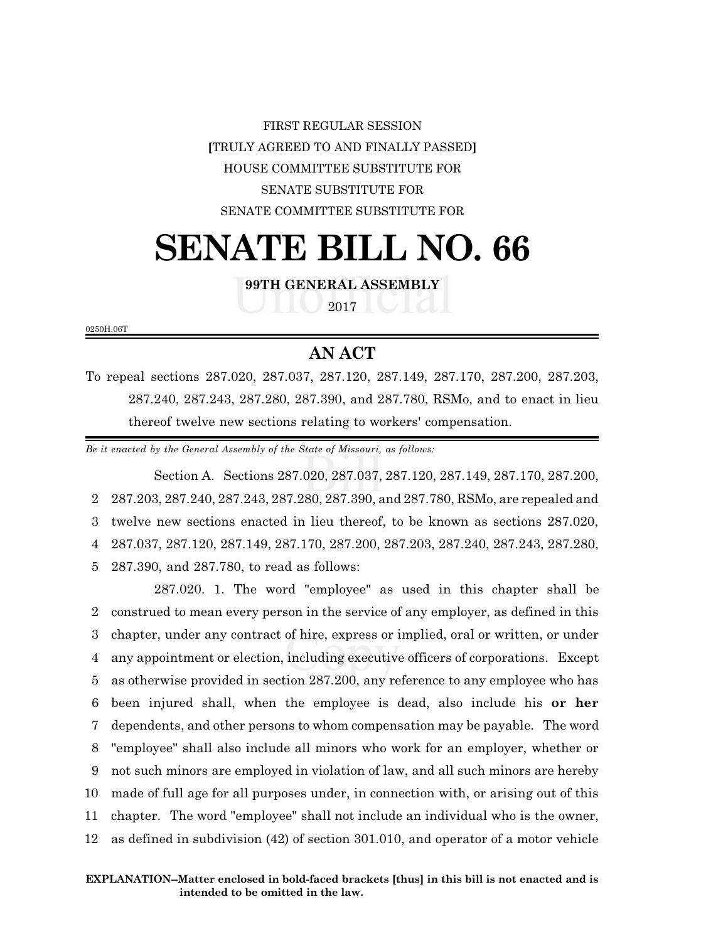# FIRST REGULAR SESSION **[**TRULY AGREED TO AND FINALLY PASSED**]** HOUSE COMMITTEE SUBSTITUTE FOR SENATE SUBSTITUTE FOR SENATE COMMITTEE SUBSTITUTE FOR

# **SENATE BILL NO. 66**

**99TH GENERAL ASSEMBLY**

2017

0250H.06T

## **AN ACT**

To repeal sections 287.020, 287.037, 287.120, 287.149, 287.170, 287.200, 287.203, 287.240, 287.243, 287.280, 287.390, and 287.780, RSMo, and to enact in lieu thereof twelve new sections relating to workers' compensation.

*Be it enacted by the General Assembly of the State of Missouri, as follows:*

Section A. Sections 287.020, 287.037, 287.120, 287.149, 287.170, 287.200, 287.203, 287.240, 287.243, 287.280, 287.390, and 287.780, RSMo, are repealed and twelve new sections enacted in lieu thereof, to be known as sections 287.020, 287.037, 287.120, 287.149, 287.170, 287.200, 287.203, 287.240, 287.243, 287.280, 287.390, and 287.780, to read as follows:

287.020. 1. The word "employee" as used in this chapter shall be construed to mean every person in the service of any employer, as defined in this chapter, under any contract of hire, express or implied, oral or written, or under any appointment or election, including executive officers of corporations. Except as otherwise provided in section 287.200, any reference to any employee who has been injured shall, when the employee is dead, also include his **or her** dependents, and other persons to whom compensation may be payable. The word "employee" shall also include all minors who work for an employer, whether or not such minors are employed in violation of law, and all such minors are hereby made of full age for all purposes under, in connection with, or arising out of this chapter. The word "employee" shall not include an individual who is the owner, as defined in subdivision (42) of section 301.010, and operator of a motor vehicle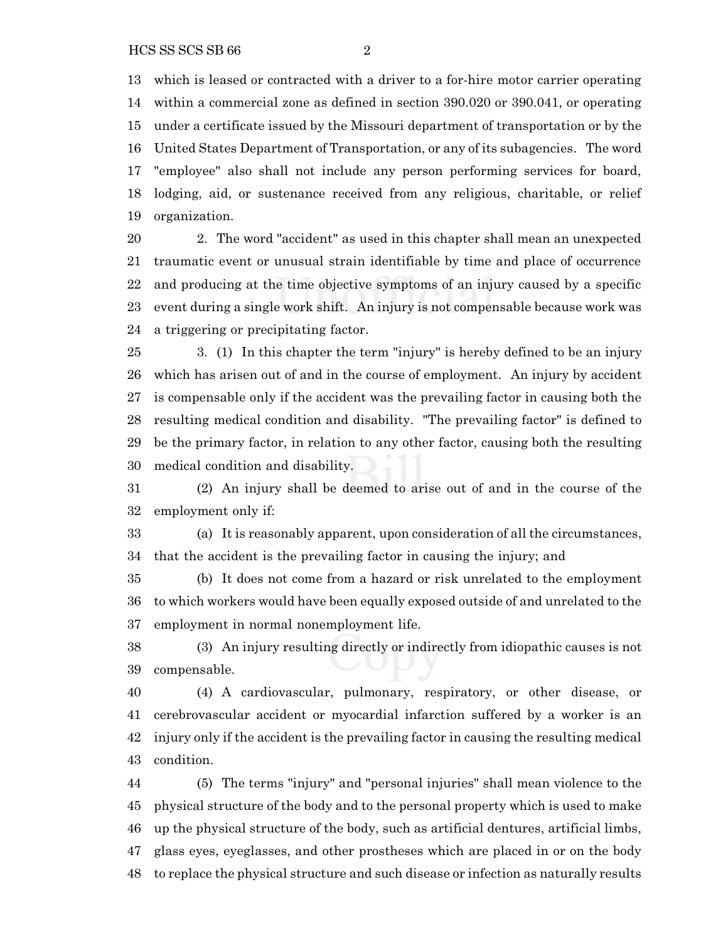which is leased or contracted with a driver to a for-hire motor carrier operating within a commercial zone as defined in section 390.020 or 390.041, or operating under a certificate issued by the Missouri department of transportation or by the United States Department of Transportation, or any of its subagencies. The word "employee" also shall not include any person performing services for board, lodging, aid, or sustenance received from any religious, charitable, or relief organization.

 2. The word "accident" as used in this chapter shall mean an unexpected traumatic event or unusual strain identifiable by time and place of occurrence and producing at the time objective symptoms of an injury caused by a specific event during a single work shift. An injury is not compensable because work was a triggering or precipitating factor.

 3. (1) In this chapter the term "injury" is hereby defined to be an injury which has arisen out of and in the course of employment. An injury by accident is compensable only if the accident was the prevailing factor in causing both the resulting medical condition and disability. "The prevailing factor" is defined to be the primary factor, in relation to any other factor, causing both the resulting medical condition and disability.

 (2) An injury shall be deemed to arise out of and in the course of the employment only if:

 (a) It is reasonably apparent, upon consideration of all the circumstances, that the accident is the prevailing factor in causing the injury; and

 (b) It does not come from a hazard or risk unrelated to the employment to which workers would have been equally exposed outside of and unrelated to the employment in normal nonemployment life.

 (3) An injury resulting directly or indirectly from idiopathic causes is not compensable.

 (4) A cardiovascular, pulmonary, respiratory, or other disease, or cerebrovascular accident or myocardial infarction suffered by a worker is an injury only if the accident is the prevailing factor in causing the resulting medical condition.

 (5) The terms "injury" and "personal injuries" shall mean violence to the physical structure of the body and to the personal property which is used to make up the physical structure of the body, such as artificial dentures, artificial limbs, glass eyes, eyeglasses, and other prostheses which are placed in or on the body to replace the physical structure and such disease or infection as naturally results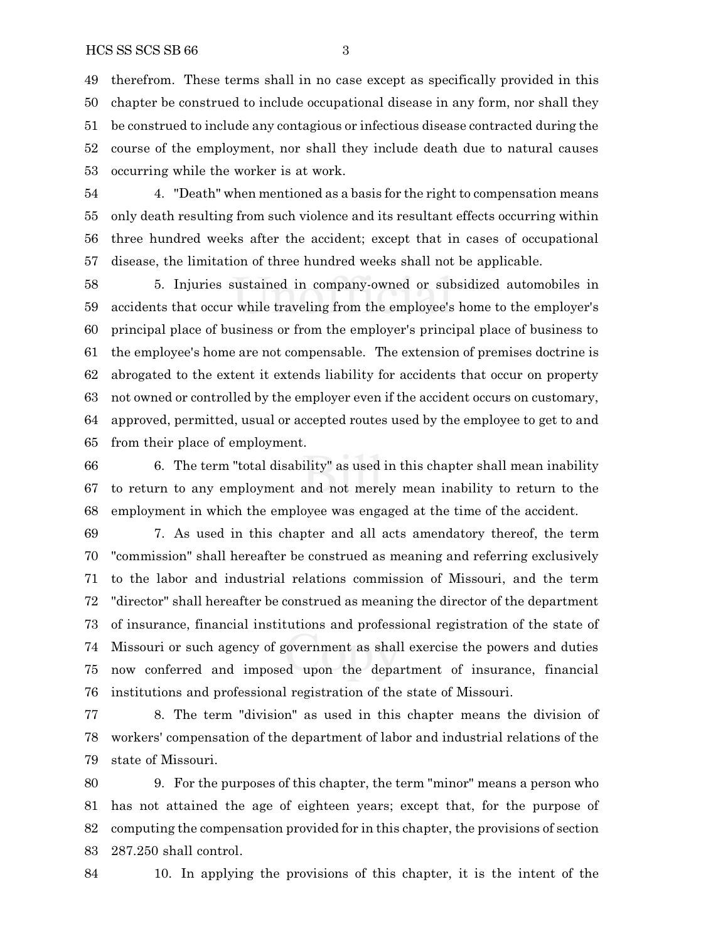therefrom. These terms shall in no case except as specifically provided in this chapter be construed to include occupational disease in any form, nor shall they be construed to include any contagious or infectious disease contracted during the course of the employment, nor shall they include death due to natural causes occurring while the worker is at work.

 4. "Death" when mentioned as a basis for the right to compensation means only death resulting from such violence and its resultant effects occurring within three hundred weeks after the accident; except that in cases of occupational disease, the limitation of three hundred weeks shall not be applicable.

 5. Injuries sustained in company-owned or subsidized automobiles in accidents that occur while traveling from the employee's home to the employer's principal place of business or from the employer's principal place of business to the employee's home are not compensable. The extension of premises doctrine is abrogated to the extent it extends liability for accidents that occur on property not owned or controlled by the employer even if the accident occurs on customary, approved, permitted, usual or accepted routes used by the employee to get to and from their place of employment.

 6. The term "total disability" as used in this chapter shall mean inability to return to any employment and not merely mean inability to return to the employment in which the employee was engaged at the time of the accident.

 7. As used in this chapter and all acts amendatory thereof, the term "commission" shall hereafter be construed as meaning and referring exclusively to the labor and industrial relations commission of Missouri, and the term "director" shall hereafter be construed as meaning the director of the department of insurance, financial institutions and professional registration of the state of Missouri or such agency of government as shall exercise the powers and duties now conferred and imposed upon the department of insurance, financial institutions and professional registration of the state of Missouri.

 8. The term "division" as used in this chapter means the division of workers' compensation of the department of labor and industrial relations of the state of Missouri.

 9. For the purposes of this chapter, the term "minor" means a person who has not attained the age of eighteen years; except that, for the purpose of computing the compensation provided for in this chapter, the provisions of section 287.250 shall control.

10. In applying the provisions of this chapter, it is the intent of the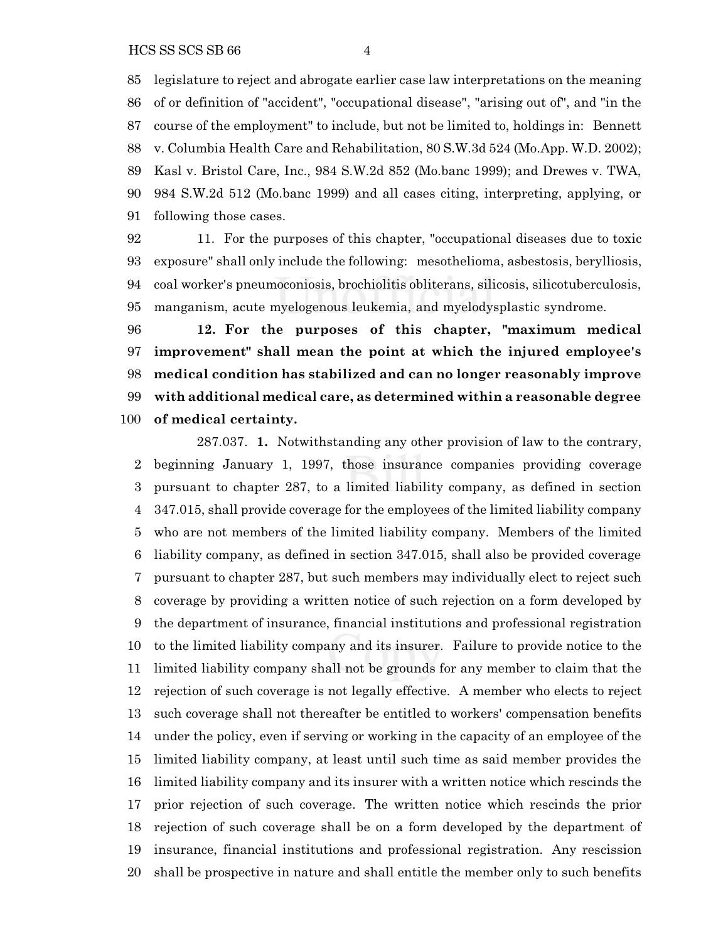legislature to reject and abrogate earlier case law interpretations on the meaning of or definition of "accident", "occupational disease", "arising out of", and "in the course of the employment" to include, but not be limited to, holdings in: Bennett v. Columbia Health Care and Rehabilitation, 80 S.W.3d 524 (Mo.App. W.D. 2002); Kasl v. Bristol Care, Inc., 984 S.W.2d 852 (Mo.banc 1999); and Drewes v. TWA, 984 S.W.2d 512 (Mo.banc 1999) and all cases citing, interpreting, applying, or following those cases.

 11. For the purposes of this chapter, "occupational diseases due to toxic exposure" shall only include the following: mesothelioma, asbestosis, berylliosis, coal worker's pneumoconiosis, brochiolitis obliterans, silicosis, silicotuberculosis, manganism, acute myelogenous leukemia, and myelodysplastic syndrome.

 **12. For the purposes of this chapter, "maximum medical improvement" shall mean the point at which the injured employee's medical condition has stabilized and can no longer reasonably improve with additional medical care, as determined within a reasonable degree of medical certainty.**

287.037. **1.** Notwithstanding any other provision of law to the contrary, beginning January 1, 1997, those insurance companies providing coverage pursuant to chapter 287, to a limited liability company, as defined in section 347.015, shall provide coverage for the employees of the limited liability company who are not members of the limited liability company. Members of the limited liability company, as defined in section 347.015, shall also be provided coverage pursuant to chapter 287, but such members may individually elect to reject such coverage by providing a written notice of such rejection on a form developed by the department of insurance, financial institutions and professional registration to the limited liability company and its insurer. Failure to provide notice to the limited liability company shall not be grounds for any member to claim that the rejection of such coverage is not legally effective. A member who elects to reject such coverage shall not thereafter be entitled to workers' compensation benefits under the policy, even if serving or working in the capacity of an employee of the limited liability company, at least until such time as said member provides the limited liability company and its insurer with a written notice which rescinds the prior rejection of such coverage. The written notice which rescinds the prior rejection of such coverage shall be on a form developed by the department of insurance, financial institutions and professional registration. Any rescission shall be prospective in nature and shall entitle the member only to such benefits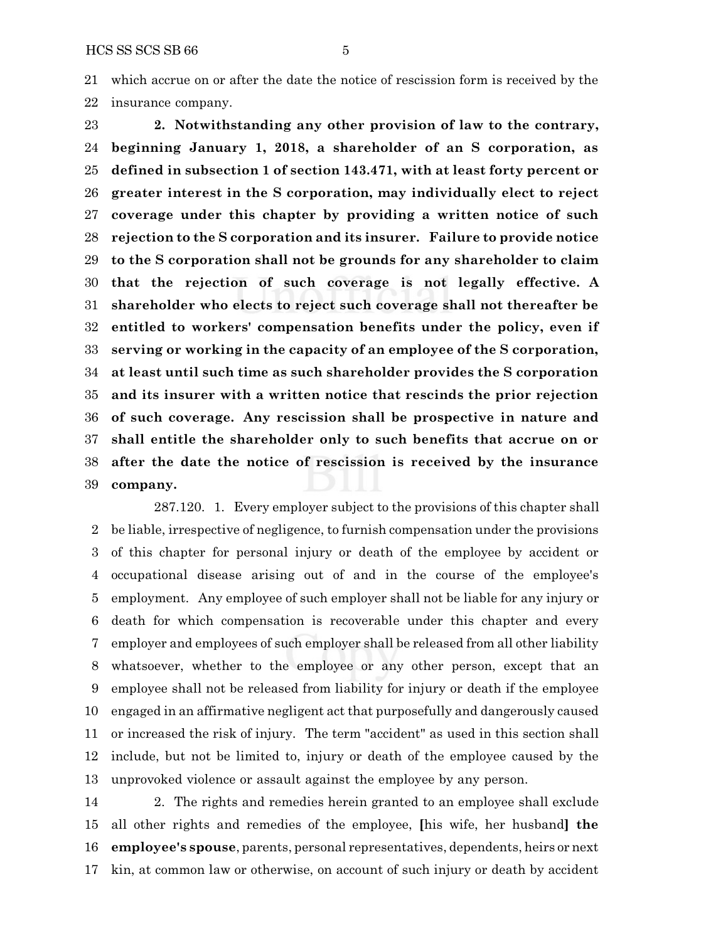which accrue on or after the date the notice of rescission form is received by the insurance company.

 **2. Notwithstanding any other provision of law to the contrary, beginning January 1, 2018, a shareholder of an S corporation, as defined in subsection 1 of section 143.471, with at least forty percent or greater interest in the S corporation, may individually elect to reject coverage under this chapter by providing a written notice of such rejection to the S corporation and its insurer. Failure to provide notice to the S corporation shall not be grounds for any shareholder to claim that the rejection of such coverage is not legally effective. A shareholder who elects to reject such coverage shall not thereafter be entitled to workers' compensation benefits under the policy, even if serving or working in the capacity of an employee of the S corporation, at least until such time as such shareholder provides the S corporation and its insurer with a written notice that rescinds the prior rejection of such coverage. Any rescission shall be prospective in nature and shall entitle the shareholder only to such benefits that accrue on or after the date the notice of rescission is received by the insurance company.**

287.120. 1. Every employer subject to the provisions of this chapter shall be liable, irrespective of negligence, to furnish compensation under the provisions of this chapter for personal injury or death of the employee by accident or occupational disease arising out of and in the course of the employee's employment. Any employee of such employer shall not be liable for any injury or death for which compensation is recoverable under this chapter and every employer and employees of such employer shall be released from all other liability whatsoever, whether to the employee or any other person, except that an employee shall not be released from liability for injury or death if the employee engaged in an affirmative negligent act that purposefully and dangerously caused or increased the risk of injury. The term "accident" as used in this section shall include, but not be limited to, injury or death of the employee caused by the unprovoked violence or assault against the employee by any person.

 2. The rights and remedies herein granted to an employee shall exclude all other rights and remedies of the employee, **[**his wife, her husband**] the employee's spouse**, parents, personal representatives, dependents, heirs or next kin, at common law or otherwise, on account of such injury or death by accident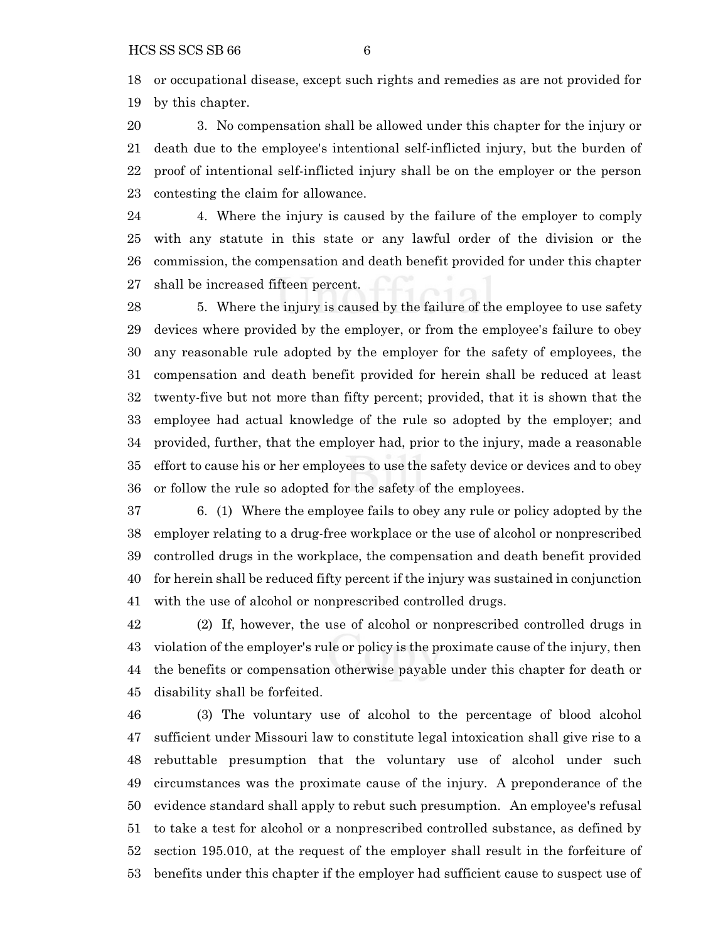or occupational disease, except such rights and remedies as are not provided for by this chapter.

 3. No compensation shall be allowed under this chapter for the injury or death due to the employee's intentional self-inflicted injury, but the burden of proof of intentional self-inflicted injury shall be on the employer or the person contesting the claim for allowance.

 4. Where the injury is caused by the failure of the employer to comply with any statute in this state or any lawful order of the division or the commission, the compensation and death benefit provided for under this chapter shall be increased fifteen percent.

 5. Where the injury is caused by the failure of the employee to use safety devices where provided by the employer, or from the employee's failure to obey any reasonable rule adopted by the employer for the safety of employees, the compensation and death benefit provided for herein shall be reduced at least twenty-five but not more than fifty percent; provided, that it is shown that the employee had actual knowledge of the rule so adopted by the employer; and provided, further, that the employer had, prior to the injury, made a reasonable effort to cause his or her employees to use the safety device or devices and to obey or follow the rule so adopted for the safety of the employees.

 6. (1) Where the employee fails to obey any rule or policy adopted by the employer relating to a drug-free workplace or the use of alcohol or nonprescribed controlled drugs in the workplace, the compensation and death benefit provided for herein shall be reduced fifty percent if the injury was sustained in conjunction with the use of alcohol or nonprescribed controlled drugs.

 (2) If, however, the use of alcohol or nonprescribed controlled drugs in violation of the employer's rule or policy is the proximate cause of the injury, then the benefits or compensation otherwise payable under this chapter for death or disability shall be forfeited.

 (3) The voluntary use of alcohol to the percentage of blood alcohol sufficient under Missouri law to constitute legal intoxication shall give rise to a rebuttable presumption that the voluntary use of alcohol under such circumstances was the proximate cause of the injury. A preponderance of the evidence standard shall apply to rebut such presumption. An employee's refusal to take a test for alcohol or a nonprescribed controlled substance, as defined by section 195.010, at the request of the employer shall result in the forfeiture of benefits under this chapter if the employer had sufficient cause to suspect use of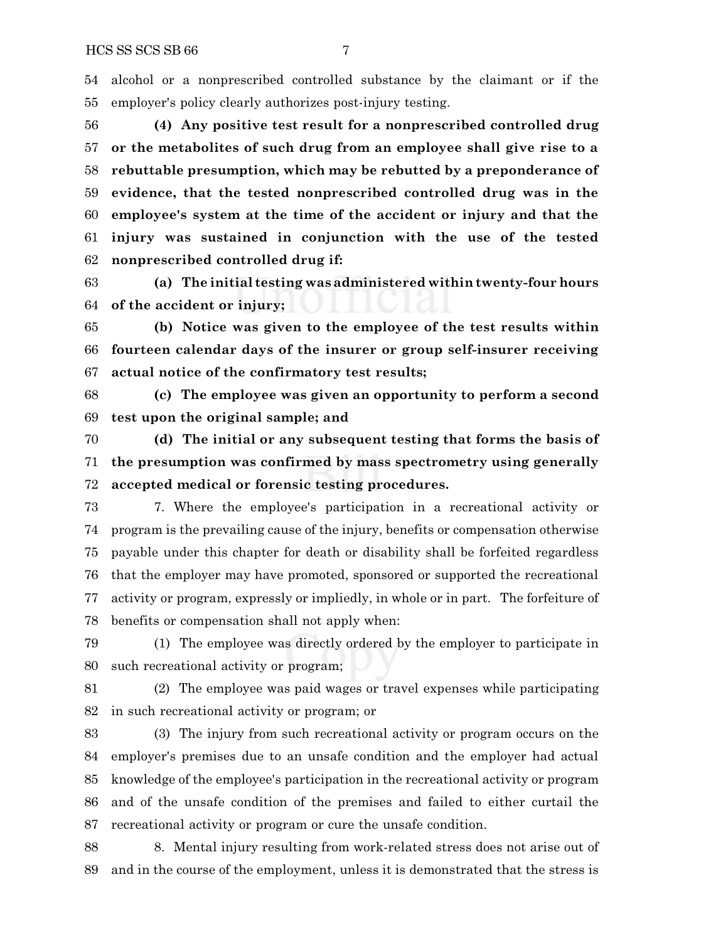alcohol or a nonprescribed controlled substance by the claimant or if the employer's policy clearly authorizes post-injury testing.

 **(4) Any positive test result for a nonprescribed controlled drug or the metabolites of such drug from an employee shall give rise to a rebuttable presumption, which may be rebutted by a preponderance of evidence, that the tested nonprescribed controlled drug was in the employee's system at the time of the accident or injury and that the injury was sustained in conjunction with the use of the tested nonprescribed controlled drug if:**

 **(a) The initial testing was administered within twenty-four hours of the accident or injury;**

 **(b) Notice was given to the employee of the test results within fourteen calendar days of the insurer or group self-insurer receiving actual notice of the confirmatory test results;**

 **(c) The employee was given an opportunity to perform a second test upon the original sample; and**

 **(d) The initial or any subsequent testing that forms the basis of the presumption was confirmed by mass spectrometry using generally accepted medical or forensic testing procedures.**

 7. Where the employee's participation in a recreational activity or program is the prevailing cause of the injury, benefits or compensation otherwise payable under this chapter for death or disability shall be forfeited regardless that the employer may have promoted, sponsored or supported the recreational activity or program, expressly or impliedly, in whole or in part. The forfeiture of benefits or compensation shall not apply when:

 (1) The employee was directly ordered by the employer to participate in such recreational activity or program;

 (2) The employee was paid wages or travel expenses while participating in such recreational activity or program; or

 (3) The injury from such recreational activity or program occurs on the employer's premises due to an unsafe condition and the employer had actual knowledge of the employee's participation in the recreational activity or program and of the unsafe condition of the premises and failed to either curtail the recreational activity or program or cure the unsafe condition.

 8. Mental injury resulting from work-related stress does not arise out of and in the course of the employment, unless it is demonstrated that the stress is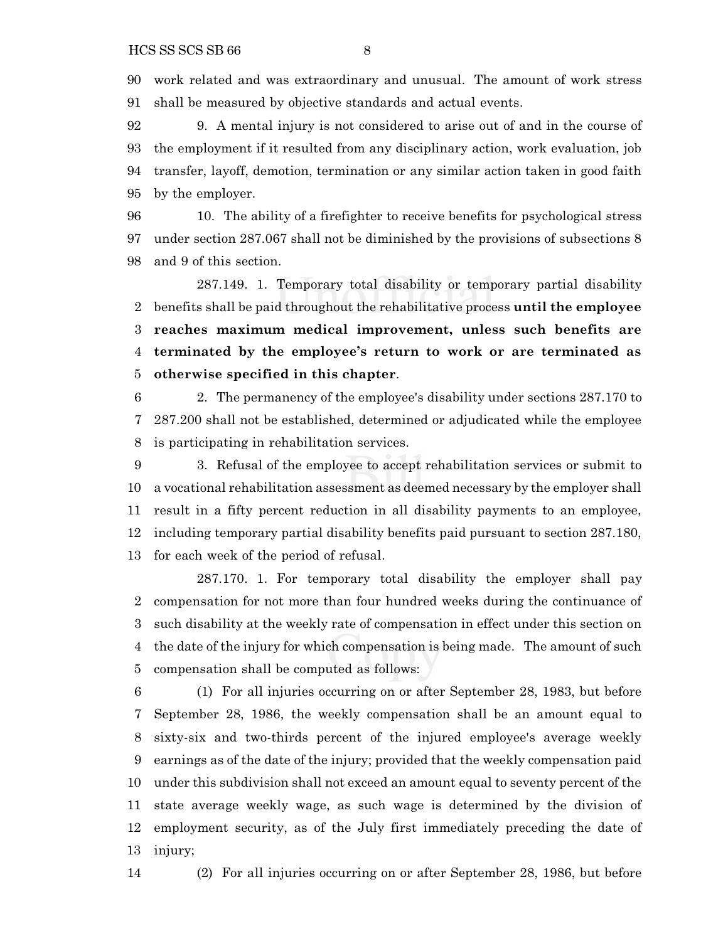work related and was extraordinary and unusual. The amount of work stress shall be measured by objective standards and actual events.

 9. A mental injury is not considered to arise out of and in the course of the employment if it resulted from any disciplinary action, work evaluation, job transfer, layoff, demotion, termination or any similar action taken in good faith by the employer.

 10. The ability of a firefighter to receive benefits for psychological stress under section 287.067 shall not be diminished by the provisions of subsections 8 and 9 of this section.

287.149. 1. Temporary total disability or temporary partial disability benefits shall be paid throughout the rehabilitative process **until the employee reaches maximum medical improvement, unless such benefits are terminated by the employee's return to work or are terminated as otherwise specified in this chapter**.

 2. The permanency of the employee's disability under sections 287.170 to 287.200 shall not be established, determined or adjudicated while the employee is participating in rehabilitation services.

 3. Refusal of the employee to accept rehabilitation services or submit to a vocational rehabilitation assessment as deemed necessary by the employer shall result in a fifty percent reduction in all disability payments to an employee, including temporary partial disability benefits paid pursuant to section 287.180, for each week of the period of refusal.

287.170. 1. For temporary total disability the employer shall pay compensation for not more than four hundred weeks during the continuance of such disability at the weekly rate of compensation in effect under this section on the date of the injury for which compensation is being made. The amount of such compensation shall be computed as follows:

 (1) For all injuries occurring on or after September 28, 1983, but before September 28, 1986, the weekly compensation shall be an amount equal to sixty-six and two-thirds percent of the injured employee's average weekly earnings as of the date of the injury; provided that the weekly compensation paid under this subdivision shall not exceed an amount equal to seventy percent of the state average weekly wage, as such wage is determined by the division of employment security, as of the July first immediately preceding the date of injury;

(2) For all injuries occurring on or after September 28, 1986, but before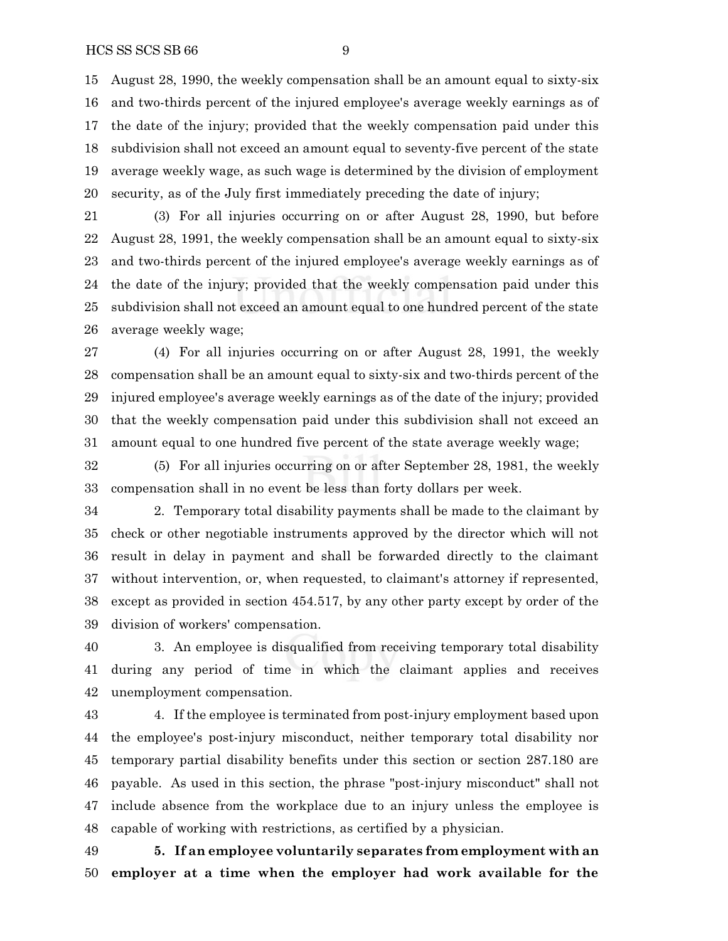## HCS SS SCS SB 66 9

 August 28, 1990, the weekly compensation shall be an amount equal to sixty-six and two-thirds percent of the injured employee's average weekly earnings as of the date of the injury; provided that the weekly compensation paid under this subdivision shall not exceed an amount equal to seventy-five percent of the state average weekly wage, as such wage is determined by the division of employment security, as of the July first immediately preceding the date of injury;

 (3) For all injuries occurring on or after August 28, 1990, but before August 28, 1991, the weekly compensation shall be an amount equal to sixty-six and two-thirds percent of the injured employee's average weekly earnings as of the date of the injury; provided that the weekly compensation paid under this subdivision shall not exceed an amount equal to one hundred percent of the state average weekly wage;

 (4) For all injuries occurring on or after August 28, 1991, the weekly compensation shall be an amount equal to sixty-six and two-thirds percent of the injured employee's average weekly earnings as of the date of the injury; provided that the weekly compensation paid under this subdivision shall not exceed an amount equal to one hundred five percent of the state average weekly wage;

 (5) For all injuries occurring on or after September 28, 1981, the weekly compensation shall in no event be less than forty dollars per week.

 2. Temporary total disability payments shall be made to the claimant by check or other negotiable instruments approved by the director which will not result in delay in payment and shall be forwarded directly to the claimant without intervention, or, when requested, to claimant's attorney if represented, except as provided in section 454.517, by any other party except by order of the division of workers' compensation.

 3. An employee is disqualified from receiving temporary total disability during any period of time in which the claimant applies and receives unemployment compensation.

 4. If the employee is terminated from post-injury employment based upon the employee's post-injury misconduct, neither temporary total disability nor temporary partial disability benefits under this section or section 287.180 are payable. As used in this section, the phrase "post-injury misconduct" shall not include absence from the workplace due to an injury unless the employee is capable of working with restrictions, as certified by a physician.

 **5. If an employee voluntarily separates from employment with an employer at a time when the employer had work available for the**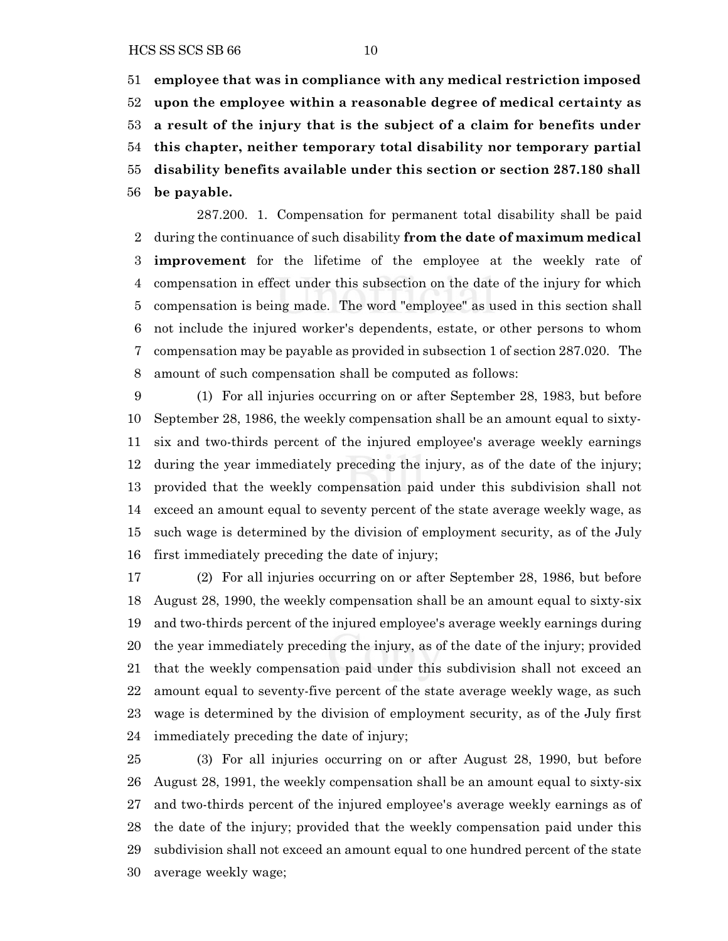**employee that was in compliance with any medical restriction imposed upon the employee within a reasonable degree of medical certainty as a result of the injury that is the subject of a claim for benefits under this chapter, neither temporary total disability nor temporary partial disability benefits available under this section or section 287.180 shall be payable.**

287.200. 1. Compensation for permanent total disability shall be paid during the continuance of such disability **from the date of maximum medical improvement** for the lifetime of the employee at the weekly rate of compensation in effect under this subsection on the date of the injury for which compensation is being made. The word "employee" as used in this section shall not include the injured worker's dependents, estate, or other persons to whom compensation may be payable as provided in subsection 1 of section 287.020. The amount of such compensation shall be computed as follows:

 (1) For all injuries occurring on or after September 28, 1983, but before September 28, 1986, the weekly compensation shall be an amount equal to sixty- six and two-thirds percent of the injured employee's average weekly earnings during the year immediately preceding the injury, as of the date of the injury; provided that the weekly compensation paid under this subdivision shall not exceed an amount equal to seventy percent of the state average weekly wage, as such wage is determined by the division of employment security, as of the July first immediately preceding the date of injury;

 (2) For all injuries occurring on or after September 28, 1986, but before August 28, 1990, the weekly compensation shall be an amount equal to sixty-six and two-thirds percent of the injured employee's average weekly earnings during the year immediately preceding the injury, as of the date of the injury; provided that the weekly compensation paid under this subdivision shall not exceed an amount equal to seventy-five percent of the state average weekly wage, as such wage is determined by the division of employment security, as of the July first immediately preceding the date of injury;

 (3) For all injuries occurring on or after August 28, 1990, but before August 28, 1991, the weekly compensation shall be an amount equal to sixty-six and two-thirds percent of the injured employee's average weekly earnings as of the date of the injury; provided that the weekly compensation paid under this subdivision shall not exceed an amount equal to one hundred percent of the state average weekly wage;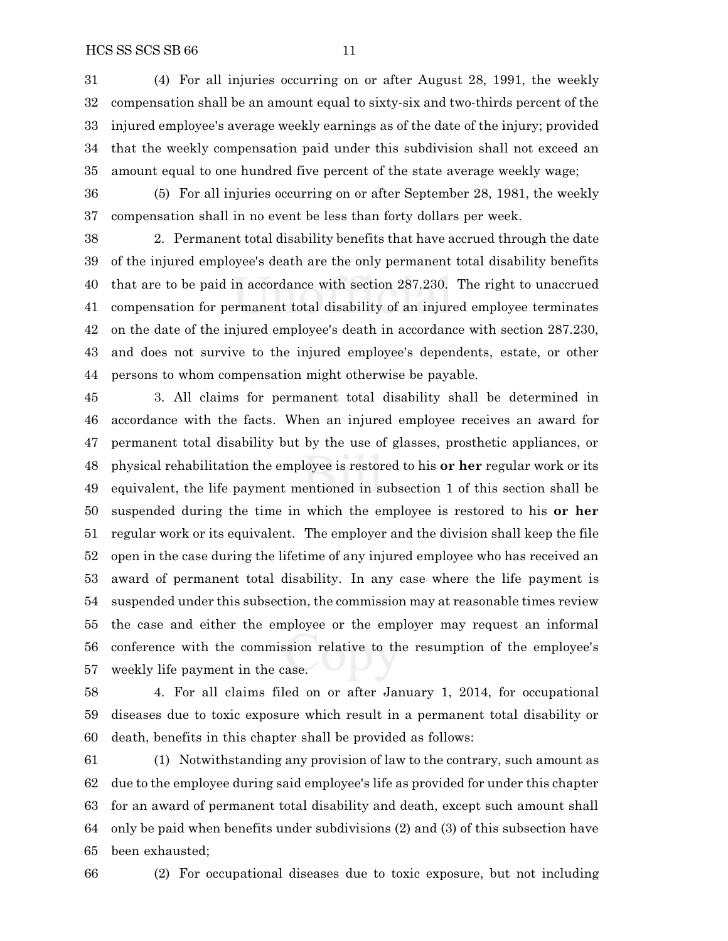(4) For all injuries occurring on or after August 28, 1991, the weekly compensation shall be an amount equal to sixty-six and two-thirds percent of the injured employee's average weekly earnings as of the date of the injury; provided that the weekly compensation paid under this subdivision shall not exceed an amount equal to one hundred five percent of the state average weekly wage;

 (5) For all injuries occurring on or after September 28, 1981, the weekly compensation shall in no event be less than forty dollars per week.

 2. Permanent total disability benefits that have accrued through the date of the injured employee's death are the only permanent total disability benefits that are to be paid in accordance with section 287.230. The right to unaccrued compensation for permanent total disability of an injured employee terminates on the date of the injured employee's death in accordance with section 287.230, and does not survive to the injured employee's dependents, estate, or other persons to whom compensation might otherwise be payable.

 3. All claims for permanent total disability shall be determined in accordance with the facts. When an injured employee receives an award for permanent total disability but by the use of glasses, prosthetic appliances, or physical rehabilitation the employee is restored to his **or her** regular work or its equivalent, the life payment mentioned in subsection 1 of this section shall be suspended during the time in which the employee is restored to his **or her** regular work or its equivalent. The employer and the division shall keep the file open in the case during the lifetime of any injured employee who has received an award of permanent total disability. In any case where the life payment is suspended under this subsection, the commission may at reasonable times review the case and either the employee or the employer may request an informal conference with the commission relative to the resumption of the employee's weekly life payment in the case.

 4. For all claims filed on or after January 1, 2014, for occupational diseases due to toxic exposure which result in a permanent total disability or death, benefits in this chapter shall be provided as follows:

 (1) Notwithstanding any provision of law to the contrary, such amount as due to the employee during said employee's life as provided for under this chapter for an award of permanent total disability and death, except such amount shall only be paid when benefits under subdivisions (2) and (3) of this subsection have been exhausted;

(2) For occupational diseases due to toxic exposure, but not including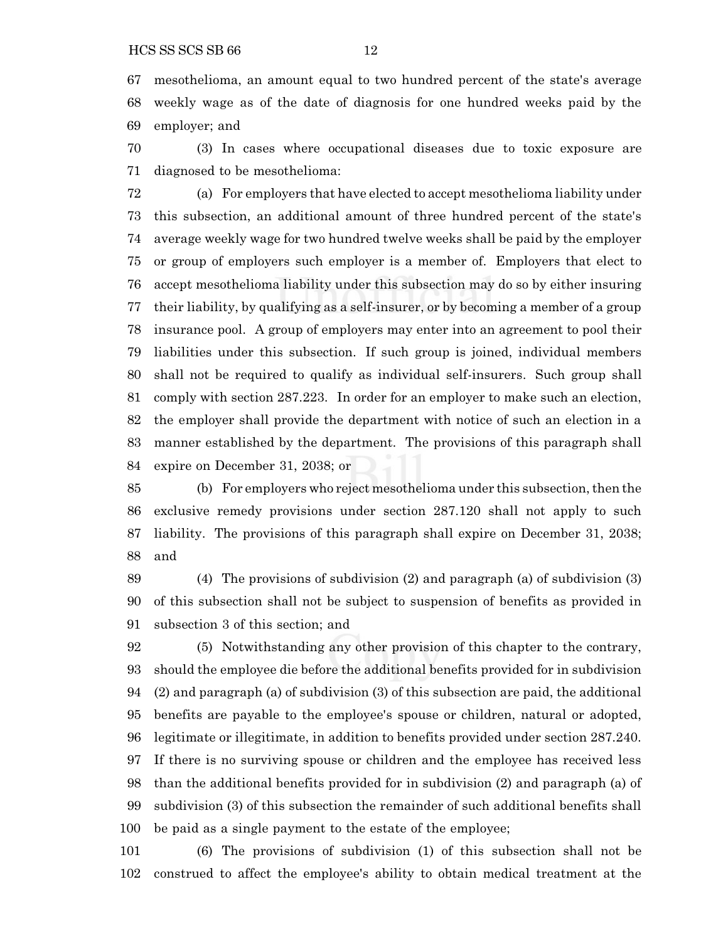mesothelioma, an amount equal to two hundred percent of the state's average weekly wage as of the date of diagnosis for one hundred weeks paid by the employer; and

 (3) In cases where occupational diseases due to toxic exposure are diagnosed to be mesothelioma:

 (a) For employers that have elected to accept mesothelioma liability under this subsection, an additional amount of three hundred percent of the state's average weekly wage for two hundred twelve weeks shall be paid by the employer or group of employers such employer is a member of. Employers that elect to accept mesothelioma liability under this subsection may do so by either insuring their liability, by qualifying as a self-insurer, or by becoming a member of a group insurance pool. A group of employers may enter into an agreement to pool their liabilities under this subsection. If such group is joined, individual members shall not be required to qualify as individual self-insurers. Such group shall comply with section 287.223. In order for an employer to make such an election, the employer shall provide the department with notice of such an election in a manner established by the department. The provisions of this paragraph shall expire on December 31, 2038; or

85 (b) For employers who reject mesothelioma under this subsection, then the exclusive remedy provisions under section 287.120 shall not apply to such liability. The provisions of this paragraph shall expire on December 31, 2038; and

 (4) The provisions of subdivision (2) and paragraph (a) of subdivision (3) of this subsection shall not be subject to suspension of benefits as provided in subsection 3 of this section; and

 (5) Notwithstanding any other provision of this chapter to the contrary, should the employee die before the additional benefits provided for in subdivision (2) and paragraph (a) of subdivision (3) of this subsection are paid, the additional benefits are payable to the employee's spouse or children, natural or adopted, legitimate or illegitimate, in addition to benefits provided under section 287.240. If there is no surviving spouse or children and the employee has received less than the additional benefits provided for in subdivision (2) and paragraph (a) of subdivision (3) of this subsection the remainder of such additional benefits shall be paid as a single payment to the estate of the employee;

 (6) The provisions of subdivision (1) of this subsection shall not be construed to affect the employee's ability to obtain medical treatment at the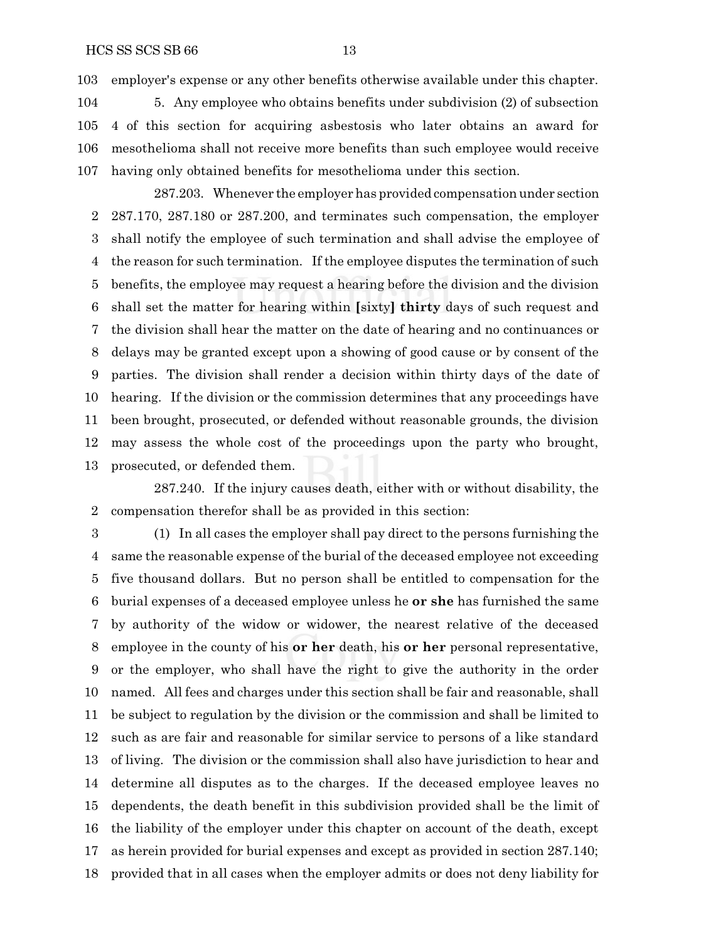employer's expense or any other benefits otherwise available under this chapter.

 5. Any employee who obtains benefits under subdivision (2) of subsection 4 of this section for acquiring asbestosis who later obtains an award for mesothelioma shall not receive more benefits than such employee would receive having only obtained benefits for mesothelioma under this section.

287.203. Whenever the employer has provided compensation under section 287.170, 287.180 or 287.200, and terminates such compensation, the employer shall notify the employee of such termination and shall advise the employee of the reason for such termination. If the employee disputes the termination of such benefits, the employee may request a hearing before the division and the division shall set the matter for hearing within **[**sixty**] thirty** days of such request and the division shall hear the matter on the date of hearing and no continuances or delays may be granted except upon a showing of good cause or by consent of the parties. The division shall render a decision within thirty days of the date of hearing. If the division or the commission determines that any proceedings have been brought, prosecuted, or defended without reasonable grounds, the division may assess the whole cost of the proceedings upon the party who brought, prosecuted, or defended them.

287.240. If the injury causes death, either with or without disability, the compensation therefor shall be as provided in this section:

 (1) In all cases the employer shall pay direct to the persons furnishing the same the reasonable expense of the burial of the deceased employee not exceeding five thousand dollars. But no person shall be entitled to compensation for the burial expenses of a deceased employee unless he **or she** has furnished the same by authority of the widow or widower, the nearest relative of the deceased employee in the county of his **or her** death, his **or her** personal representative, or the employer, who shall have the right to give the authority in the order named. All fees and charges under this section shall be fair and reasonable, shall be subject to regulation by the division or the commission and shall be limited to such as are fair and reasonable for similar service to persons of a like standard of living. The division or the commission shall also have jurisdiction to hear and determine all disputes as to the charges. If the deceased employee leaves no dependents, the death benefit in this subdivision provided shall be the limit of the liability of the employer under this chapter on account of the death, except as herein provided for burial expenses and except as provided in section 287.140; provided that in all cases when the employer admits or does not deny liability for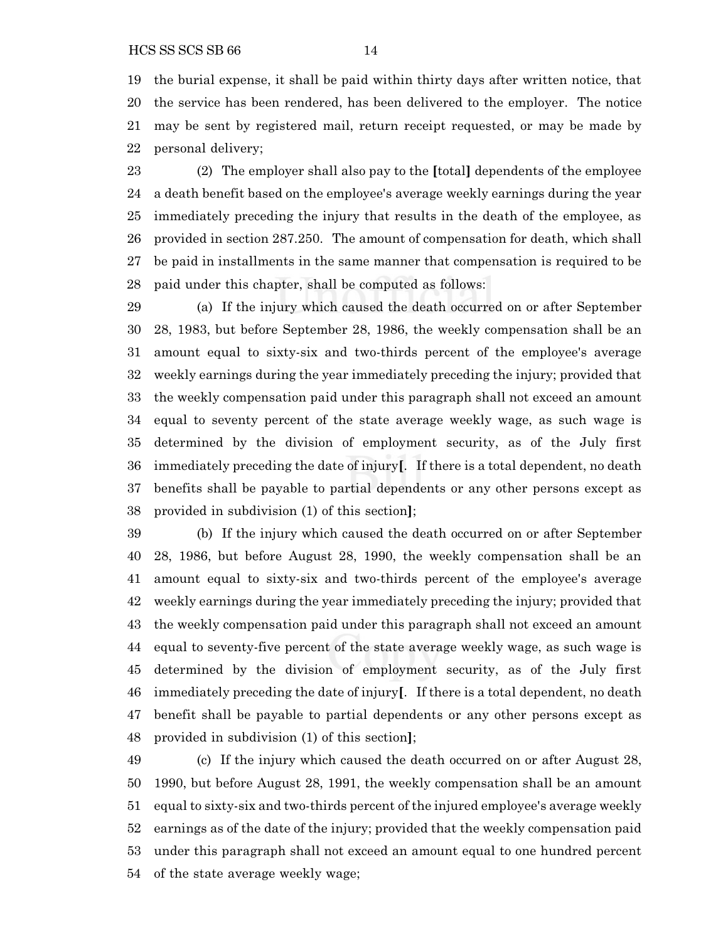the burial expense, it shall be paid within thirty days after written notice, that the service has been rendered, has been delivered to the employer. The notice may be sent by registered mail, return receipt requested, or may be made by personal delivery;

 (2) The employer shall also pay to the **[**total**]** dependents of the employee a death benefit based on the employee's average weekly earnings during the year immediately preceding the injury that results in the death of the employee, as provided in section 287.250. The amount of compensation for death, which shall be paid in installments in the same manner that compensation is required to be paid under this chapter, shall be computed as follows:

 (a) If the injury which caused the death occurred on or after September 28, 1983, but before September 28, 1986, the weekly compensation shall be an amount equal to sixty-six and two-thirds percent of the employee's average weekly earnings during the year immediately preceding the injury; provided that the weekly compensation paid under this paragraph shall not exceed an amount equal to seventy percent of the state average weekly wage, as such wage is determined by the division of employment security, as of the July first immediately preceding the date of injury**[**. If there is a total dependent, no death benefits shall be payable to partial dependents or any other persons except as provided in subdivision (1) of this section**]**;

 (b) If the injury which caused the death occurred on or after September 28, 1986, but before August 28, 1990, the weekly compensation shall be an amount equal to sixty-six and two-thirds percent of the employee's average weekly earnings during the year immediately preceding the injury; provided that the weekly compensation paid under this paragraph shall not exceed an amount equal to seventy-five percent of the state average weekly wage, as such wage is determined by the division of employment security, as of the July first immediately preceding the date of injury**[**. If there is a total dependent, no death benefit shall be payable to partial dependents or any other persons except as provided in subdivision (1) of this section**]**;

 (c) If the injury which caused the death occurred on or after August 28, 1990, but before August 28, 1991, the weekly compensation shall be an amount equal to sixty-six and two-thirds percent of the injured employee's average weekly earnings as of the date of the injury; provided that the weekly compensation paid under this paragraph shall not exceed an amount equal to one hundred percent of the state average weekly wage;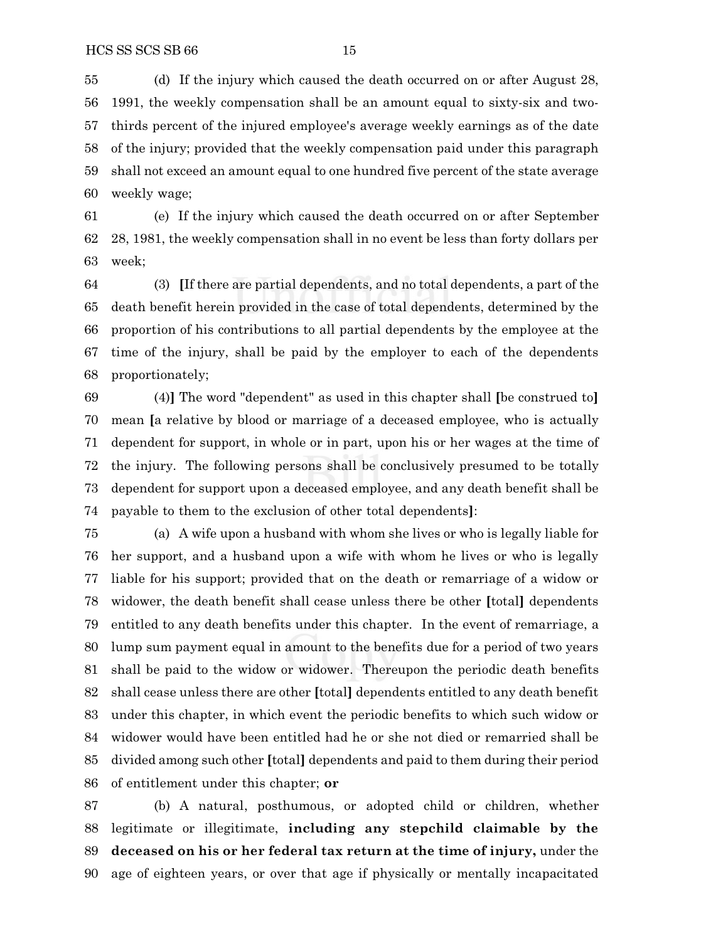(d) If the injury which caused the death occurred on or after August 28, 1991, the weekly compensation shall be an amount equal to sixty-six and two- thirds percent of the injured employee's average weekly earnings as of the date of the injury; provided that the weekly compensation paid under this paragraph shall not exceed an amount equal to one hundred five percent of the state average weekly wage;

 (e) If the injury which caused the death occurred on or after September 28, 1981, the weekly compensation shall in no event be less than forty dollars per week;

 (3) **[**If there are partial dependents, and no total dependents, a part of the death benefit herein provided in the case of total dependents, determined by the proportion of his contributions to all partial dependents by the employee at the time of the injury, shall be paid by the employer to each of the dependents proportionately;

 (4)**]** The word "dependent" as used in this chapter shall **[**be construed to**]** mean **[**a relative by blood or marriage of a deceased employee, who is actually dependent for support, in whole or in part, upon his or her wages at the time of the injury. The following persons shall be conclusively presumed to be totally dependent for support upon a deceased employee, and any death benefit shall be payable to them to the exclusion of other total dependents**]**:

 (a) A wife upon a husband with whom she lives or who is legally liable for her support, and a husband upon a wife with whom he lives or who is legally liable for his support; provided that on the death or remarriage of a widow or widower, the death benefit shall cease unless there be other **[**total**]** dependents entitled to any death benefits under this chapter. In the event of remarriage, a lump sum payment equal in amount to the benefits due for a period of two years shall be paid to the widow or widower. Thereupon the periodic death benefits shall cease unless there are other **[**total**]** dependents entitled to any death benefit under this chapter, in which event the periodic benefits to which such widow or widower would have been entitled had he or she not died or remarried shall be divided among such other **[**total**]** dependents and paid to them during their period of entitlement under this chapter; **or**

 (b) A natural, posthumous, or adopted child or children, whether legitimate or illegitimate, **including any stepchild claimable by the deceased on his or her federal tax return at the time of injury,** under the age of eighteen years, or over that age if physically or mentally incapacitated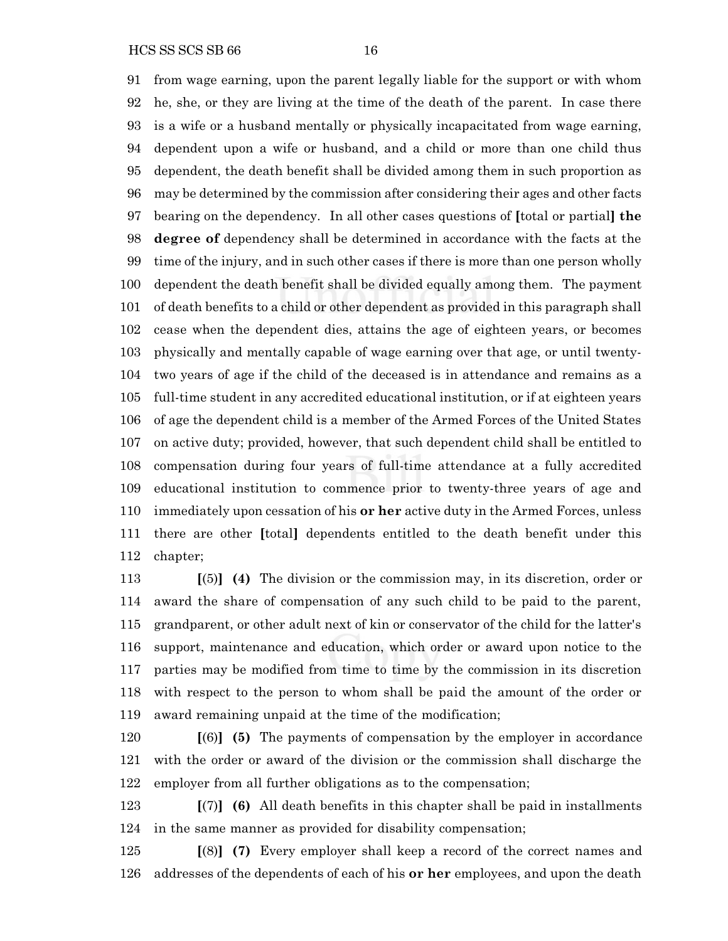HCS SS SCS SB 66 16

 from wage earning, upon the parent legally liable for the support or with whom he, she, or they are living at the time of the death of the parent. In case there is a wife or a husband mentally or physically incapacitated from wage earning, dependent upon a wife or husband, and a child or more than one child thus dependent, the death benefit shall be divided among them in such proportion as may be determined by the commission after considering their ages and other facts bearing on the dependency. In all other cases questions of **[**total or partial**] the degree of** dependency shall be determined in accordance with the facts at the time of the injury, and in such other cases if there is more than one person wholly dependent the death benefit shall be divided equally among them. The payment of death benefits to a child or other dependent as provided in this paragraph shall cease when the dependent dies, attains the age of eighteen years, or becomes physically and mentally capable of wage earning over that age, or until twenty- two years of age if the child of the deceased is in attendance and remains as a full-time student in any accredited educational institution, or if at eighteen years of age the dependent child is a member of the Armed Forces of the United States on active duty; provided, however, that such dependent child shall be entitled to compensation during four years of full-time attendance at a fully accredited educational institution to commence prior to twenty-three years of age and immediately upon cessation of his **or her** active duty in the Armed Forces, unless there are other **[**total**]** dependents entitled to the death benefit under this chapter;

 **[**(5)**] (4)** The division or the commission may, in its discretion, order or award the share of compensation of any such child to be paid to the parent, grandparent, or other adult next of kin or conservator of the child for the latter's support, maintenance and education, which order or award upon notice to the parties may be modified from time to time by the commission in its discretion with respect to the person to whom shall be paid the amount of the order or award remaining unpaid at the time of the modification;

 **[**(6)**] (5)** The payments of compensation by the employer in accordance with the order or award of the division or the commission shall discharge the employer from all further obligations as to the compensation;

 **[**(7)**] (6)** All death benefits in this chapter shall be paid in installments in the same manner as provided for disability compensation;

 **[**(8)**] (7)** Every employer shall keep a record of the correct names and addresses of the dependents of each of his **or her** employees, and upon the death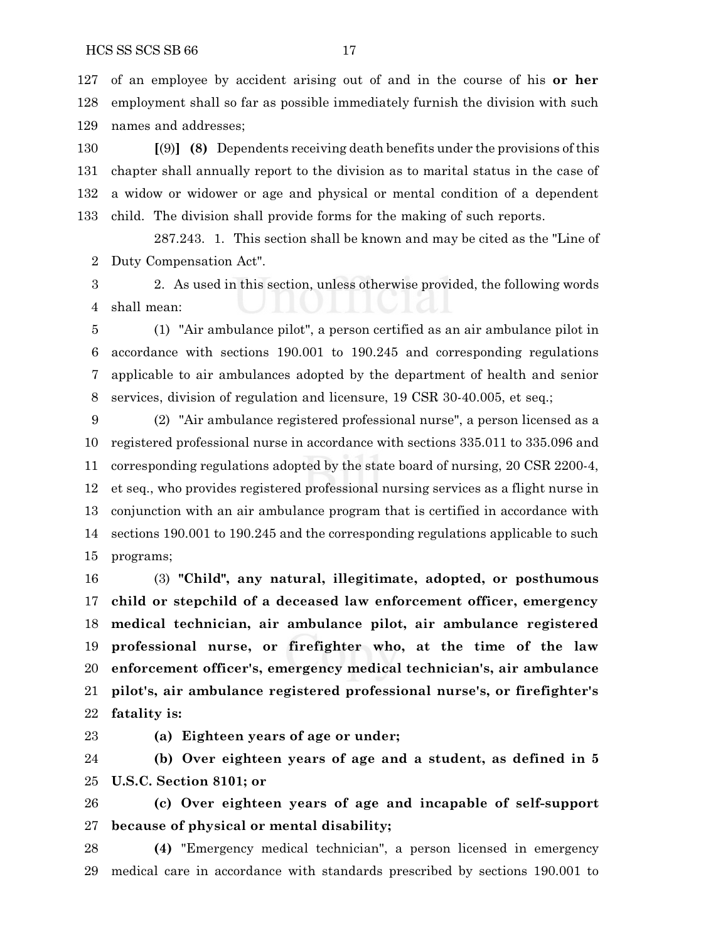of an employee by accident arising out of and in the course of his **or her** employment shall so far as possible immediately furnish the division with such names and addresses;

 **[**(9)**] (8)** Dependents receiving death benefits under the provisions of this chapter shall annually report to the division as to marital status in the case of a widow or widower or age and physical or mental condition of a dependent child. The division shall provide forms for the making of such reports.

287.243. 1. This section shall be known and may be cited as the "Line of Duty Compensation Act".

 2. As used in this section, unless otherwise provided, the following words shall mean:

 (1) "Air ambulance pilot", a person certified as an air ambulance pilot in accordance with sections 190.001 to 190.245 and corresponding regulations applicable to air ambulances adopted by the department of health and senior services, division of regulation and licensure, 19 CSR 30-40.005, et seq.;

 (2) "Air ambulance registered professional nurse", a person licensed as a registered professional nurse in accordance with sections 335.011 to 335.096 and corresponding regulations adopted by the state board of nursing, 20 CSR 2200-4, et seq., who provides registered professional nursing services as a flight nurse in conjunction with an air ambulance program that is certified in accordance with sections 190.001 to 190.245 and the corresponding regulations applicable to such programs;

 (3) **"Child", any natural, illegitimate, adopted, or posthumous child or stepchild of a deceased law enforcement officer, emergency medical technician, air ambulance pilot, air ambulance registered professional nurse, or firefighter who, at the time of the law enforcement officer's, emergency medical technician's, air ambulance pilot's, air ambulance registered professional nurse's, or firefighter's fatality is:**

**(a) Eighteen years of age or under;**

 **(b) Over eighteen years of age and a student, as defined in 5 U.S.C. Section 8101; or**

 **(c) Over eighteen years of age and incapable of self-support because of physical or mental disability;**

 **(4)** "Emergency medical technician", a person licensed in emergency medical care in accordance with standards prescribed by sections 190.001 to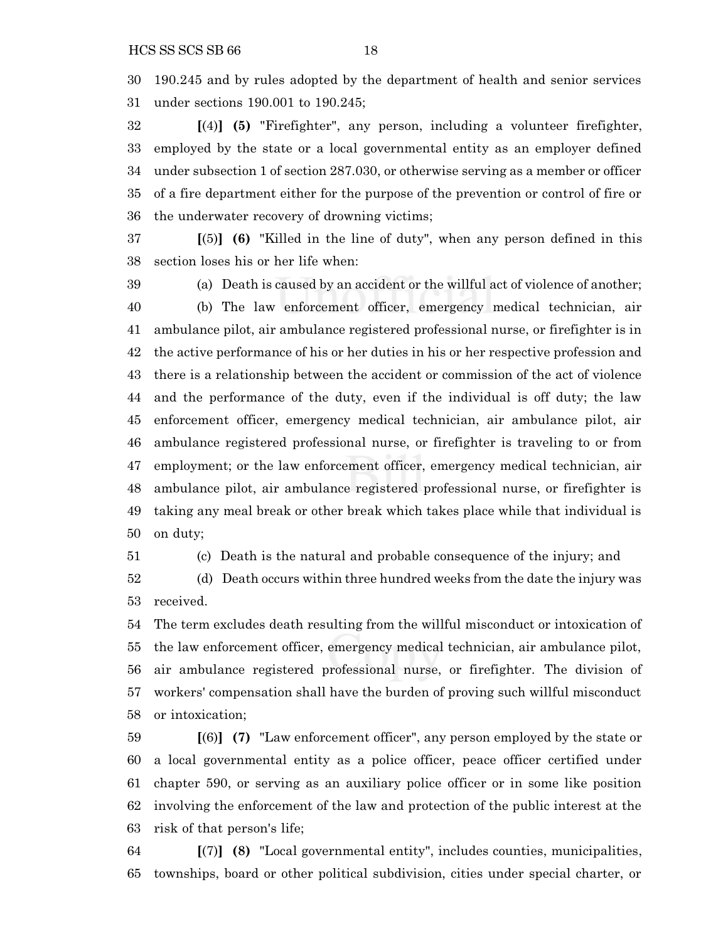190.245 and by rules adopted by the department of health and senior services under sections 190.001 to 190.245;

 **[**(4)**] (5)** "Firefighter", any person, including a volunteer firefighter, employed by the state or a local governmental entity as an employer defined under subsection 1 of section 287.030, or otherwise serving as a member or officer of a fire department either for the purpose of the prevention or control of fire or the underwater recovery of drowning victims;

 **[**(5)**] (6)** "Killed in the line of duty", when any person defined in this section loses his or her life when:

 (a) Death is caused by an accident or the willful act of violence of another; (b) The law enforcement officer, emergency medical technician, air ambulance pilot, air ambulance registered professional nurse, or firefighter is in the active performance of his or her duties in his or her respective profession and there is a relationship between the accident or commission of the act of violence and the performance of the duty, even if the individual is off duty; the law enforcement officer, emergency medical technician, air ambulance pilot, air ambulance registered professional nurse, or firefighter is traveling to or from employment; or the law enforcement officer, emergency medical technician, air ambulance pilot, air ambulance registered professional nurse, or firefighter is taking any meal break or other break which takes place while that individual is on duty;

(c) Death is the natural and probable consequence of the injury; and

 (d) Death occurs within three hundred weeks from the date the injury was received.

 The term excludes death resulting from the willful misconduct or intoxication of the law enforcement officer, emergency medical technician, air ambulance pilot, air ambulance registered professional nurse, or firefighter. The division of workers' compensation shall have the burden of proving such willful misconduct or intoxication;

 **[**(6)**] (7)** "Law enforcement officer", any person employed by the state or a local governmental entity as a police officer, peace officer certified under chapter 590, or serving as an auxiliary police officer or in some like position involving the enforcement of the law and protection of the public interest at the risk of that person's life;

 **[**(7)**] (8)** "Local governmental entity", includes counties, municipalities, townships, board or other political subdivision, cities under special charter, or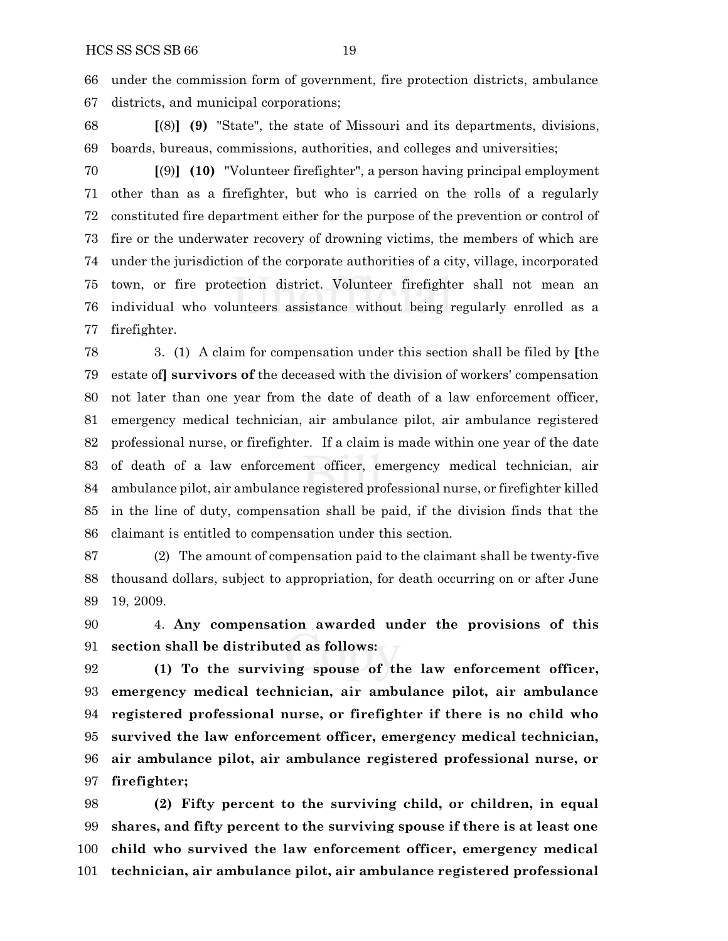under the commission form of government, fire protection districts, ambulance districts, and municipal corporations;

 **[**(8)**] (9)** "State", the state of Missouri and its departments, divisions, boards, bureaus, commissions, authorities, and colleges and universities;

 **[**(9)**] (10)** "Volunteer firefighter", a person having principal employment other than as a firefighter, but who is carried on the rolls of a regularly constituted fire department either for the purpose of the prevention or control of fire or the underwater recovery of drowning victims, the members of which are under the jurisdiction of the corporate authorities of a city, village, incorporated town, or fire protection district. Volunteer firefighter shall not mean an individual who volunteers assistance without being regularly enrolled as a firefighter.

 3. (1) A claim for compensation under this section shall be filed by **[**the estate of**] survivors of** the deceased with the division of workers' compensation not later than one year from the date of death of a law enforcement officer, emergency medical technician, air ambulance pilot, air ambulance registered professional nurse, or firefighter. If a claim is made within one year of the date of death of a law enforcement officer, emergency medical technician, air ambulance pilot, air ambulance registered professional nurse, or firefighter killed in the line of duty, compensation shall be paid, if the division finds that the claimant is entitled to compensation under this section.

 (2) The amount of compensation paid to the claimant shall be twenty-five thousand dollars, subject to appropriation, for death occurring on or after June 19, 2009.

 4. **Any compensation awarded under the provisions of this section shall be distributed as follows:**

 **(1) To the surviving spouse of the law enforcement officer, emergency medical technician, air ambulance pilot, air ambulance registered professional nurse, or firefighter if there is no child who survived the law enforcement officer, emergency medical technician, air ambulance pilot, air ambulance registered professional nurse, or firefighter;**

 **(2) Fifty percent to the surviving child, or children, in equal shares, and fifty percent to the surviving spouse if there is at least one child who survived the law enforcement officer, emergency medical technician, air ambulance pilot, air ambulance registered professional**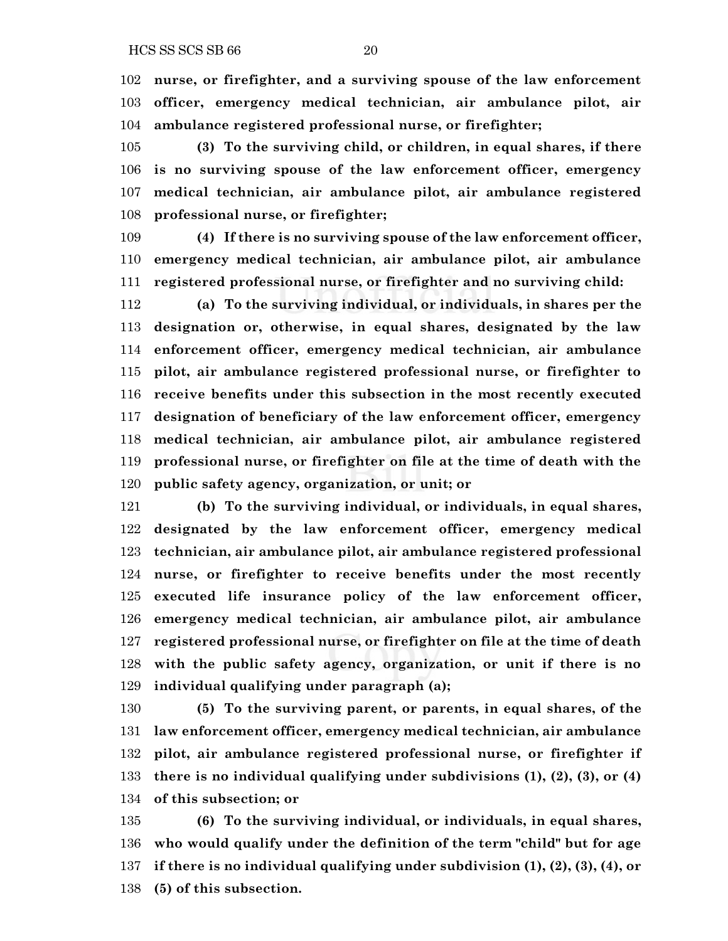**nurse, or firefighter, and a surviving spouse of the law enforcement officer, emergency medical technician, air ambulance pilot, air ambulance registered professional nurse, or firefighter;**

 **(3) To the surviving child, or children, in equal shares, if there is no surviving spouse of the law enforcement officer, emergency medical technician, air ambulance pilot, air ambulance registered professional nurse, or firefighter;**

 **(4) If there is no surviving spouse of the law enforcement officer, emergency medical technician, air ambulance pilot, air ambulance registered professional nurse, or firefighter and no surviving child:**

 **(a) To the surviving individual, or individuals, in shares per the designation or, otherwise, in equal shares, designated by the law enforcement officer, emergency medical technician, air ambulance pilot, air ambulance registered professional nurse, or firefighter to receive benefits under this subsection in the most recently executed designation of beneficiary of the law enforcement officer, emergency medical technician, air ambulance pilot, air ambulance registered professional nurse, or firefighter on file at the time of death with the public safety agency, organization, or unit; or**

 **(b) To the surviving individual, or individuals, in equal shares, designated by the law enforcement officer, emergency medical technician, air ambulance pilot, air ambulance registered professional nurse, or firefighter to receive benefits under the most recently executed life insurance policy of the law enforcement officer, emergency medical technician, air ambulance pilot, air ambulance registered professional nurse, or firefighter on file at the time of death with the public safety agency, organization, or unit if there is no individual qualifying under paragraph (a);**

 **(5) To the surviving parent, or parents, in equal shares, of the law enforcement officer, emergency medical technician, air ambulance pilot, air ambulance registered professional nurse, or firefighter if there is no individual qualifying under subdivisions (1), (2), (3), or (4) of this subsection; or**

 **(6) To the surviving individual, or individuals, in equal shares, who would qualify under the definition of the term "child" but for age if there is no individual qualifying under subdivision (1), (2), (3), (4), or (5) of this subsection.**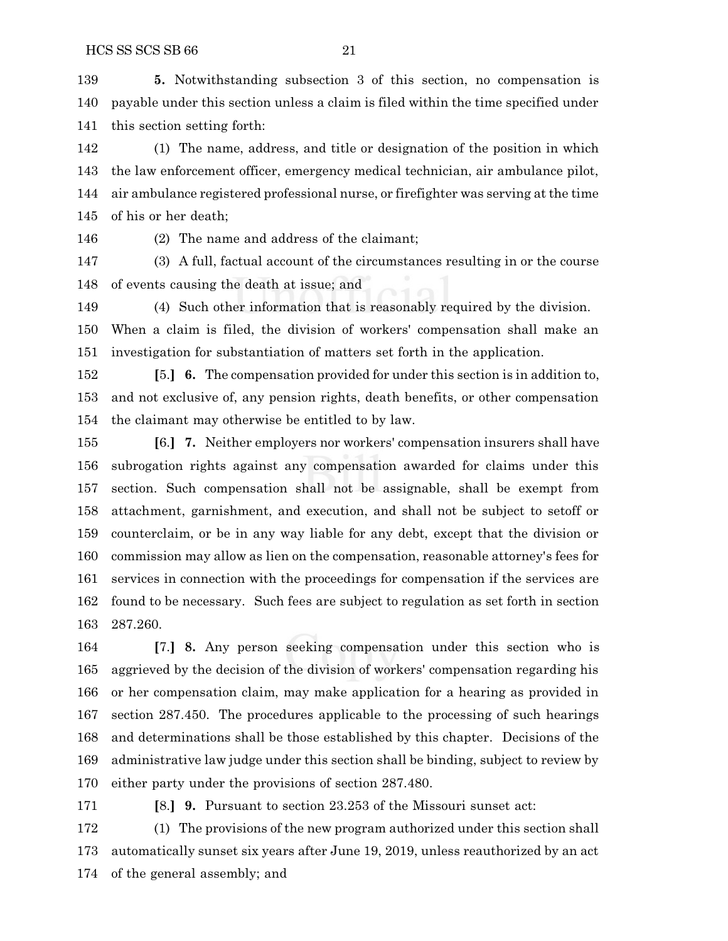**5.** Notwithstanding subsection 3 of this section, no compensation is payable under this section unless a claim is filed within the time specified under this section setting forth:

 (1) The name, address, and title or designation of the position in which the law enforcement officer, emergency medical technician, air ambulance pilot, air ambulance registered professional nurse, or firefighter was serving at the time of his or her death;

(2) The name and address of the claimant;

 (3) A full, factual account of the circumstances resulting in or the course of events causing the death at issue; and

(4) Such other information that is reasonably required by the division.

 When a claim is filed, the division of workers' compensation shall make an investigation for substantiation of matters set forth in the application.

 **[**5.**] 6.** The compensation provided for under this section is in addition to, and not exclusive of, any pension rights, death benefits, or other compensation the claimant may otherwise be entitled to by law.

 **[**6.**] 7.** Neither employers nor workers' compensation insurers shall have subrogation rights against any compensation awarded for claims under this section. Such compensation shall not be assignable, shall be exempt from attachment, garnishment, and execution, and shall not be subject to setoff or counterclaim, or be in any way liable for any debt, except that the division or commission may allow as lien on the compensation, reasonable attorney's fees for services in connection with the proceedings for compensation if the services are found to be necessary. Such fees are subject to regulation as set forth in section 287.260.

 **[**7.**] 8.** Any person seeking compensation under this section who is aggrieved by the decision of the division of workers' compensation regarding his or her compensation claim, may make application for a hearing as provided in section 287.450. The procedures applicable to the processing of such hearings and determinations shall be those established by this chapter. Decisions of the administrative law judge under this section shall be binding, subject to review by either party under the provisions of section 287.480.

**[**8.**] 9.** Pursuant to section 23.253 of the Missouri sunset act:

 (1) The provisions of the new program authorized under this section shall automatically sunset six years after June 19, 2019, unless reauthorized by an act of the general assembly; and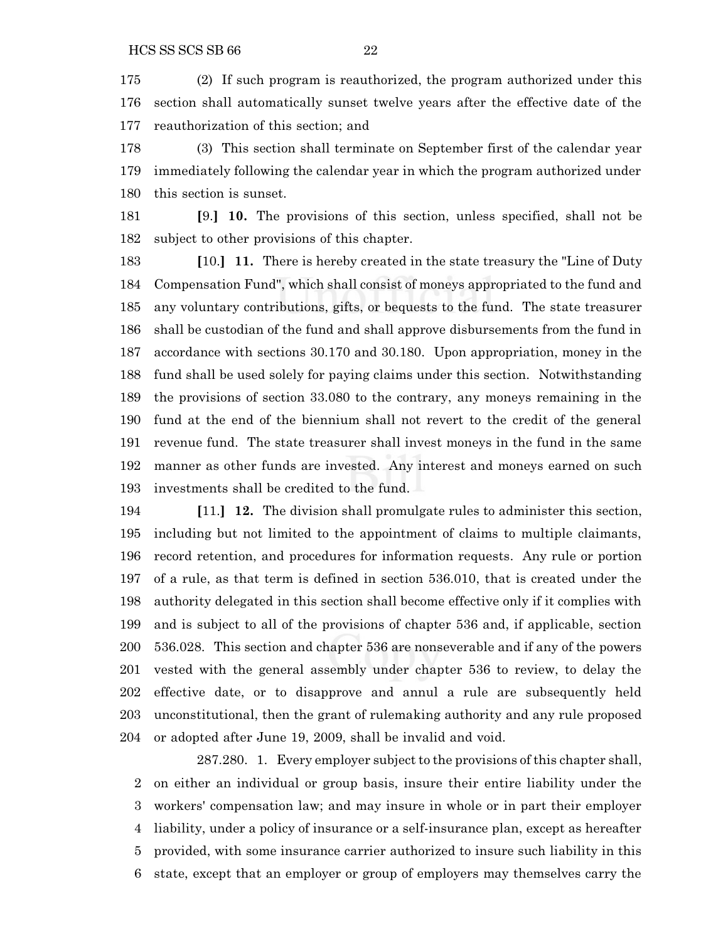(2) If such program is reauthorized, the program authorized under this section shall automatically sunset twelve years after the effective date of the reauthorization of this section; and

 (3) This section shall terminate on September first of the calendar year immediately following the calendar year in which the program authorized under this section is sunset.

 **[**9.**] 10.** The provisions of this section, unless specified, shall not be subject to other provisions of this chapter.

 **[**10.**] 11.** There is hereby created in the state treasury the "Line of Duty Compensation Fund", which shall consist of moneys appropriated to the fund and any voluntary contributions, gifts, or bequests to the fund. The state treasurer shall be custodian of the fund and shall approve disbursements from the fund in accordance with sections 30.170 and 30.180. Upon appropriation, money in the fund shall be used solely for paying claims under this section. Notwithstanding the provisions of section 33.080 to the contrary, any moneys remaining in the fund at the end of the biennium shall not revert to the credit of the general revenue fund. The state treasurer shall invest moneys in the fund in the same manner as other funds are invested. Any interest and moneys earned on such investments shall be credited to the fund.

 **[**11.**] 12.** The division shall promulgate rules to administer this section, including but not limited to the appointment of claims to multiple claimants, record retention, and procedures for information requests. Any rule or portion of a rule, as that term is defined in section 536.010, that is created under the authority delegated in this section shall become effective only if it complies with and is subject to all of the provisions of chapter 536 and, if applicable, section 536.028. This section and chapter 536 are nonseverable and if any of the powers vested with the general assembly under chapter 536 to review, to delay the effective date, or to disapprove and annul a rule are subsequently held unconstitutional, then the grant of rulemaking authority and any rule proposed or adopted after June 19, 2009, shall be invalid and void.

287.280. 1. Every employer subject to the provisions of this chapter shall, on either an individual or group basis, insure their entire liability under the workers' compensation law; and may insure in whole or in part their employer liability, under a policy of insurance or a self-insurance plan, except as hereafter provided, with some insurance carrier authorized to insure such liability in this state, except that an employer or group of employers may themselves carry the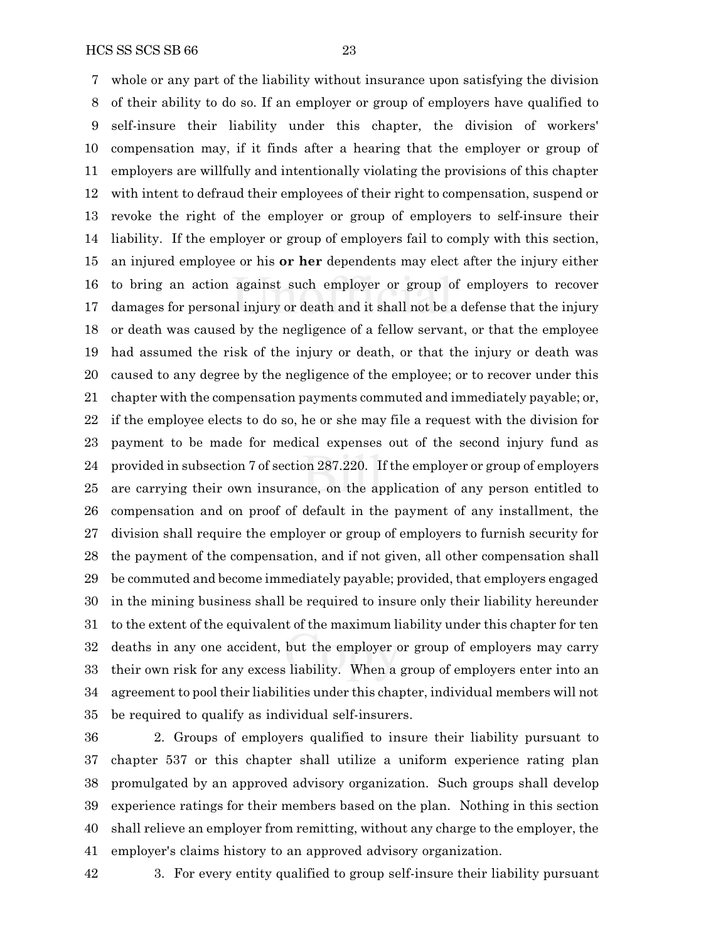HCS SS SCS SB 66 23

 whole or any part of the liability without insurance upon satisfying the division of their ability to do so. If an employer or group of employers have qualified to self-insure their liability under this chapter, the division of workers' compensation may, if it finds after a hearing that the employer or group of employers are willfully and intentionally violating the provisions of this chapter with intent to defraud their employees of their right to compensation, suspend or revoke the right of the employer or group of employers to self-insure their liability. If the employer or group of employers fail to comply with this section, an injured employee or his **or her** dependents may elect after the injury either to bring an action against such employer or group of employers to recover damages for personal injury or death and it shall not be a defense that the injury or death was caused by the negligence of a fellow servant, or that the employee had assumed the risk of the injury or death, or that the injury or death was caused to any degree by the negligence of the employee; or to recover under this chapter with the compensation payments commuted and immediately payable; or, if the employee elects to do so, he or she may file a request with the division for payment to be made for medical expenses out of the second injury fund as provided in subsection 7 of section 287.220. If the employer or group of employers are carrying their own insurance, on the application of any person entitled to compensation and on proof of default in the payment of any installment, the division shall require the employer or group of employers to furnish security for the payment of the compensation, and if not given, all other compensation shall be commuted and become immediately payable; provided, that employers engaged in the mining business shall be required to insure only their liability hereunder to the extent of the equivalent of the maximum liability under this chapter for ten deaths in any one accident, but the employer or group of employers may carry their own risk for any excess liability. When a group of employers enter into an agreement to pool their liabilities under this chapter, individual members will not be required to qualify as individual self-insurers.

 2. Groups of employers qualified to insure their liability pursuant to chapter 537 or this chapter shall utilize a uniform experience rating plan promulgated by an approved advisory organization. Such groups shall develop experience ratings for their members based on the plan. Nothing in this section shall relieve an employer from remitting, without any charge to the employer, the employer's claims history to an approved advisory organization.

3. For every entity qualified to group self-insure their liability pursuant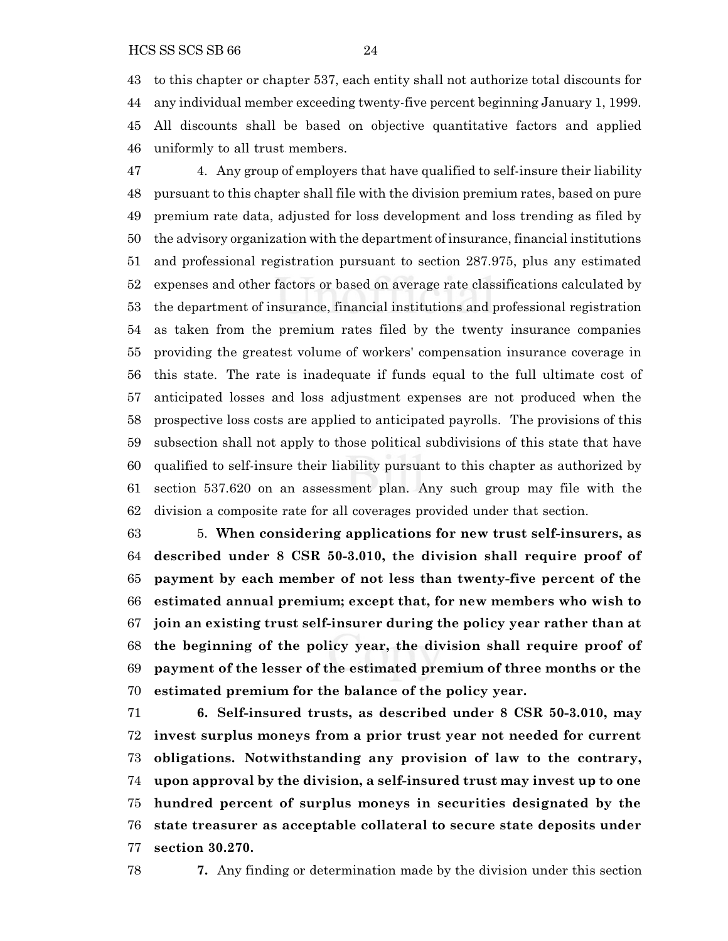to this chapter or chapter 537, each entity shall not authorize total discounts for any individual member exceeding twenty-five percent beginning January 1, 1999. All discounts shall be based on objective quantitative factors and applied uniformly to all trust members.

 4. Any group of employers that have qualified to self-insure their liability pursuant to this chapter shall file with the division premium rates, based on pure premium rate data, adjusted for loss development and loss trending as filed by the advisory organization with the department of insurance, financial institutions and professional registration pursuant to section 287.975, plus any estimated expenses and other factors or based on average rate classifications calculated by the department of insurance, financial institutions and professional registration as taken from the premium rates filed by the twenty insurance companies providing the greatest volume of workers' compensation insurance coverage in this state. The rate is inadequate if funds equal to the full ultimate cost of anticipated losses and loss adjustment expenses are not produced when the prospective loss costs are applied to anticipated payrolls. The provisions of this subsection shall not apply to those political subdivisions of this state that have qualified to self-insure their liability pursuant to this chapter as authorized by section 537.620 on an assessment plan. Any such group may file with the division a composite rate for all coverages provided under that section.

 5. **When considering applications for new trust self-insurers, as described under 8 CSR 50-3.010, the division shall require proof of payment by each member of not less than twenty-five percent of the estimated annual premium; except that, for new members who wish to join an existing trust self-insurer during the policy year rather than at the beginning of the policy year, the division shall require proof of payment of the lesser of the estimated premium of three months or the estimated premium for the balance of the policy year.**

 **6. Self-insured trusts, as described under 8 CSR 50-3.010, may invest surplus moneys from a prior trust year not needed for current obligations. Notwithstanding any provision of law to the contrary, upon approval by the division, a self-insured trust may invest up to one hundred percent of surplus moneys in securities designated by the state treasurer as acceptable collateral to secure state deposits under section 30.270.**

**7.** Any finding or determination made by the division under this section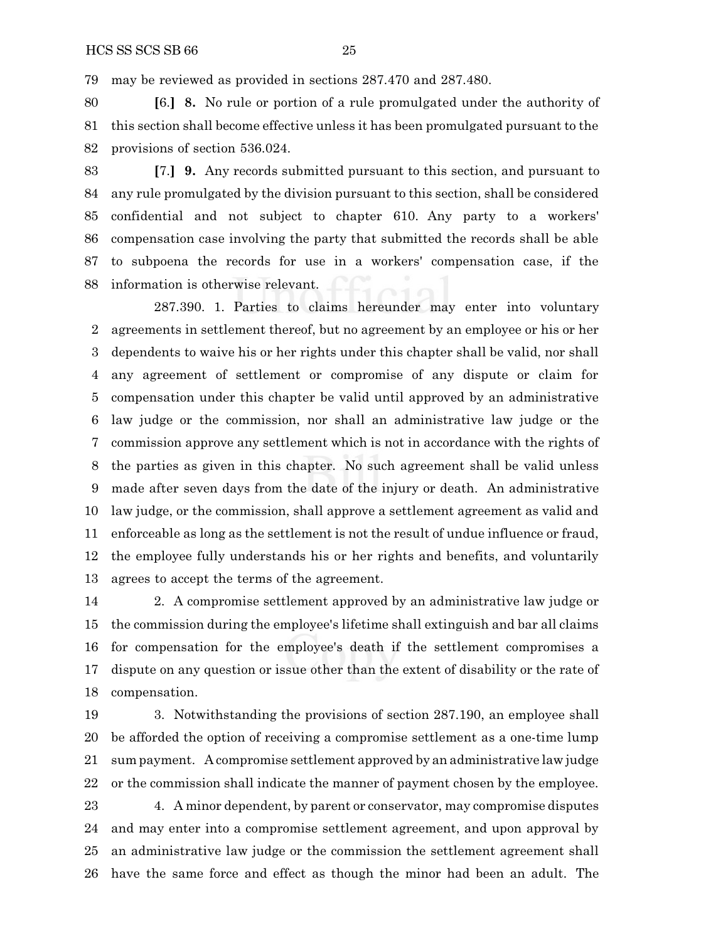may be reviewed as provided in sections 287.470 and 287.480.

 **[**6.**] 8.** No rule or portion of a rule promulgated under the authority of this section shall become effective unless it has been promulgated pursuant to the provisions of section 536.024.

 **[**7.**] 9.** Any records submitted pursuant to this section, and pursuant to any rule promulgated by the division pursuant to this section, shall be considered confidential and not subject to chapter 610. Any party to a workers' compensation case involving the party that submitted the records shall be able to subpoena the records for use in a workers' compensation case, if the information is otherwise relevant.

287.390. 1. Parties to claims hereunder may enter into voluntary agreements in settlement thereof, but no agreement by an employee or his or her dependents to waive his or her rights under this chapter shall be valid, nor shall any agreement of settlement or compromise of any dispute or claim for compensation under this chapter be valid until approved by an administrative law judge or the commission, nor shall an administrative law judge or the commission approve any settlement which is not in accordance with the rights of the parties as given in this chapter. No such agreement shall be valid unless made after seven days from the date of the injury or death. An administrative law judge, or the commission, shall approve a settlement agreement as valid and enforceable as long as the settlement is not the result of undue influence or fraud, the employee fully understands his or her rights and benefits, and voluntarily agrees to accept the terms of the agreement.

 2. A compromise settlement approved by an administrative law judge or the commission during the employee's lifetime shall extinguish and bar all claims for compensation for the employee's death if the settlement compromises a dispute on any question or issue other than the extent of disability or the rate of compensation.

 3. Notwithstanding the provisions of section 287.190, an employee shall be afforded the option of receiving a compromise settlement as a one-time lump sum payment. A compromise settlement approved by an administrative law judge or the commission shall indicate the manner of payment chosen by the employee. 4. A minor dependent, by parent or conservator, may compromise disputes and may enter into a compromise settlement agreement, and upon approval by an administrative law judge or the commission the settlement agreement shall have the same force and effect as though the minor had been an adult. The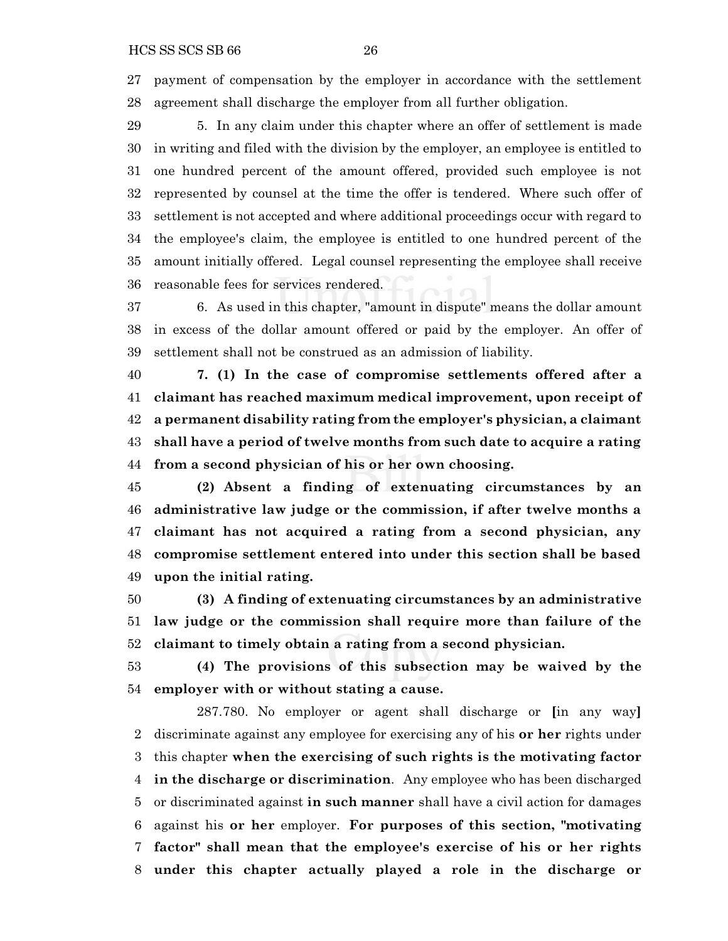payment of compensation by the employer in accordance with the settlement agreement shall discharge the employer from all further obligation.

 5. In any claim under this chapter where an offer of settlement is made in writing and filed with the division by the employer, an employee is entitled to one hundred percent of the amount offered, provided such employee is not represented by counsel at the time the offer is tendered. Where such offer of settlement is not accepted and where additional proceedings occur with regard to the employee's claim, the employee is entitled to one hundred percent of the amount initially offered. Legal counsel representing the employee shall receive reasonable fees for services rendered.

 6. As used in this chapter, "amount in dispute" means the dollar amount in excess of the dollar amount offered or paid by the employer. An offer of settlement shall not be construed as an admission of liability.

 **7. (1) In the case of compromise settlements offered after a claimant has reached maximum medical improvement, upon receipt of a permanent disability rating from the employer's physician, a claimant shall have a period of twelve months from such date to acquire a rating from a second physician of his or her own choosing.**

 **(2) Absent a finding of extenuating circumstances by an administrative law judge or the commission, if after twelve months a claimant has not acquired a rating from a second physician, any compromise settlement entered into under this section shall be based upon the initial rating.**

 **(3) A finding of extenuating circumstances by an administrative law judge or the commission shall require more than failure of the claimant to timely obtain a rating from a second physician.**

 **(4) The provisions of this subsection may be waived by the employer with or without stating a cause.**

287.780. No employer or agent shall discharge or **[**in any way**]** discriminate against any employee for exercising any of his **or her** rights under this chapter **when the exercising of such rights is the motivating factor in the discharge or discrimination**. Any employee who has been discharged or discriminated against **in such manner** shall have a civil action for damages against his **or her** employer. **For purposes of this section, "motivating factor" shall mean that the employee's exercise of his or her rights under this chapter actually played a role in the discharge or**